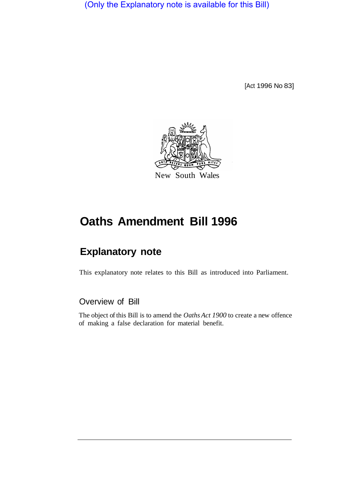(Only the Explanatory note is available for this Bill)

[Act 1996 No 83]



# **Oaths Amendment Bill 1996**

## **Explanatory note**

This explanatory note relates to this Bill as introduced into Parliament.

## Overview of Bill

The object of this Bill is to amend the *Oaths Act 1900* to create a new offence of making a false declaration for material benefit.